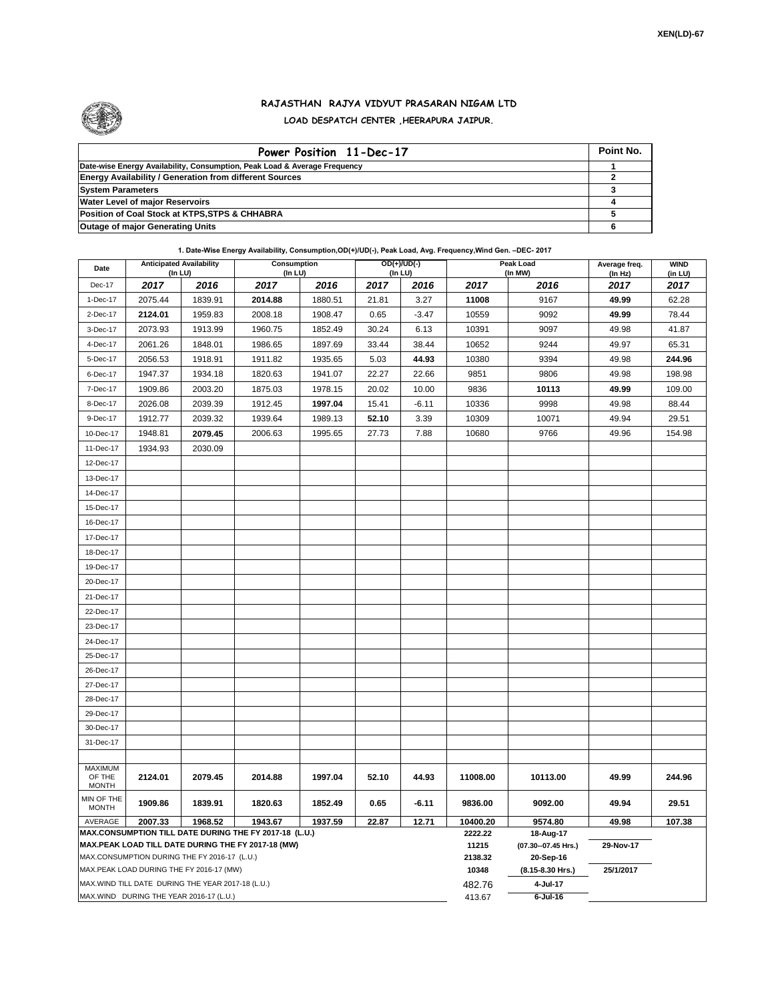

## **RAJASTHAN RAJYA VIDYUT PRASARAN NIGAM LTD LOAD DESPATCH CENTER ,HEERAPURA JAIPUR.**

| Power Position 11-Dec-17                                                  | Point No. |
|---------------------------------------------------------------------------|-----------|
| Date-wise Energy Availability, Consumption, Peak Load & Average Frequency |           |
| <b>Energy Availability / Generation from different Sources</b>            |           |
| <b>System Parameters</b>                                                  |           |
| <b>Water Level of major Reservoirs</b>                                    |           |
| Position of Coal Stock at KTPS, STPS & CHHABRA                            |           |
| <b>Outage of major Generating Units</b>                                   |           |

**1. Date-Wise Energy Availability, Consumption,OD(+)/UD(-), Peak Load, Avg. Frequency,Wind Gen. –DEC- 2017**

| Date                       | <b>Anticipated Availability</b><br>$($ In LU $)$ |                                                   | Consumption<br>(In LU)                                                                                       |                  |                                  | $OD(+)/UD(-)$<br>(In LU) |          | Peak Load<br>(In MW) | Average freq.<br>(ln Hz) | <b>WIND</b><br>(in LU) |
|----------------------------|--------------------------------------------------|---------------------------------------------------|--------------------------------------------------------------------------------------------------------------|------------------|----------------------------------|--------------------------|----------|----------------------|--------------------------|------------------------|
| Dec-17                     | 2017                                             | 2016                                              | 2017                                                                                                         | 2016             | 2017                             | 2016                     | 2017     | 2016                 | 2017                     | 2017                   |
| 1-Dec-17                   | 2075.44                                          | 1839.91                                           | 2014.88                                                                                                      | 1880.51          | 21.81                            | 3.27                     | 11008    | 9167                 | 49.99                    | 62.28                  |
| 2-Dec-17                   | 2124.01                                          | 1959.83                                           | 2008.18                                                                                                      | 1908.47          | 0.65                             | $-3.47$                  | 10559    | 9092                 | 49.99                    | 78.44                  |
| 3-Dec-17                   | 2073.93                                          | 1913.99                                           | 1960.75                                                                                                      | 1852.49          | 30.24                            | 6.13                     | 10391    | 9097                 | 49.98                    | 41.87                  |
| 4-Dec-17                   | 2061.26                                          | 1848.01                                           | 1986.65                                                                                                      | 1897.69          | 33.44                            | 38.44                    | 10652    | 9244                 | 49.97                    | 65.31                  |
| 5-Dec-17                   | 2056.53                                          | 1918.91                                           | 1911.82                                                                                                      | 1935.65          | 5.03                             | 44.93                    | 10380    | 9394                 | 49.98                    | 244.96                 |
| 6-Dec-17                   | 1947.37                                          | 1934.18                                           | 1820.63                                                                                                      | 1941.07          | 22.27                            | 22.66                    | 9851     | 9806                 | 49.98                    | 198.98                 |
| 7-Dec-17                   | 1909.86                                          | 2003.20                                           | 1875.03                                                                                                      | 1978.15          | 20.02                            | 10.00                    | 9836     | 10113                | 49.99                    | 109.00                 |
| 8-Dec-17                   | 2026.08                                          | 2039.39                                           | 1912.45                                                                                                      | 1997.04          | 15.41                            | $-6.11$                  | 10336    | 9998                 | 49.98                    | 88.44                  |
| 9-Dec-17                   | 1912.77                                          | 2039.32                                           | 1939.64                                                                                                      | 1989.13          | 52.10                            | 3.39                     | 10309    | 10071                | 49.94                    | 29.51                  |
| 10-Dec-17                  | 1948.81                                          | 2079.45                                           | 2006.63                                                                                                      | 1995.65          | 27.73                            | 7.88                     | 10680    | 9766                 | 49.96                    | 154.98                 |
| 11-Dec-17                  | 1934.93                                          | 2030.09                                           |                                                                                                              |                  |                                  |                          |          |                      |                          |                        |
| 12-Dec-17                  |                                                  |                                                   |                                                                                                              |                  |                                  |                          |          |                      |                          |                        |
| 13-Dec-17                  |                                                  |                                                   |                                                                                                              |                  |                                  |                          |          |                      |                          |                        |
| 14-Dec-17                  |                                                  |                                                   |                                                                                                              |                  |                                  |                          |          |                      |                          |                        |
| 15-Dec-17                  |                                                  |                                                   |                                                                                                              |                  |                                  |                          |          |                      |                          |                        |
| 16-Dec-17                  |                                                  |                                                   |                                                                                                              |                  |                                  |                          |          |                      |                          |                        |
| 17-Dec-17                  |                                                  |                                                   |                                                                                                              |                  |                                  |                          |          |                      |                          |                        |
| 18-Dec-17                  |                                                  |                                                   |                                                                                                              |                  |                                  |                          |          |                      |                          |                        |
| 19-Dec-17                  |                                                  |                                                   |                                                                                                              |                  |                                  |                          |          |                      |                          |                        |
| 20-Dec-17                  |                                                  |                                                   |                                                                                                              |                  |                                  |                          |          |                      |                          |                        |
| 21-Dec-17                  |                                                  |                                                   |                                                                                                              |                  |                                  |                          |          |                      |                          |                        |
| 22-Dec-17                  |                                                  |                                                   |                                                                                                              |                  |                                  |                          |          |                      |                          |                        |
| 23-Dec-17                  |                                                  |                                                   |                                                                                                              |                  |                                  |                          |          |                      |                          |                        |
| 24-Dec-17                  |                                                  |                                                   |                                                                                                              |                  |                                  |                          |          |                      |                          |                        |
| 25-Dec-17                  |                                                  |                                                   |                                                                                                              |                  |                                  |                          |          |                      |                          |                        |
| 26-Dec-17                  |                                                  |                                                   |                                                                                                              |                  |                                  |                          |          |                      |                          |                        |
| 27-Dec-17                  |                                                  |                                                   |                                                                                                              |                  |                                  |                          |          |                      |                          |                        |
| 28-Dec-17                  |                                                  |                                                   |                                                                                                              |                  |                                  |                          |          |                      |                          |                        |
| 29-Dec-17                  |                                                  |                                                   |                                                                                                              |                  |                                  |                          |          |                      |                          |                        |
| 30-Dec-17                  |                                                  |                                                   |                                                                                                              |                  |                                  |                          |          |                      |                          |                        |
| 31-Dec-17                  |                                                  |                                                   |                                                                                                              |                  |                                  |                          |          |                      |                          |                        |
|                            |                                                  |                                                   |                                                                                                              |                  |                                  |                          |          |                      |                          |                        |
| <b>MAXIMUM</b><br>OF THE   | 2124.01                                          | 2079.45                                           | 2014.88                                                                                                      | 1997.04          | 52.10                            | 44.93                    | 11008.00 | 10113.00             | 49.99                    | 244.96                 |
| <b>MONTH</b>               |                                                  |                                                   |                                                                                                              |                  |                                  |                          |          |                      |                          |                        |
| MIN OF THE<br><b>MONTH</b> | 1909.86                                          | 1839.91                                           | 1820.63                                                                                                      | 1852.49          | 0.65                             | $-6.11$                  | 9836.00  | 9092.00              | 49.94                    | 29.51                  |
| AVERAGE                    | 2007.33                                          | 1968.52                                           | 1943.67                                                                                                      | 1937.59          | 22.87                            | 12.71                    | 10400.20 | 9574.80              | 49.98                    | 107.38                 |
|                            |                                                  |                                                   | MAX.CONSUMPTION TILL DATE DURING THE FY 2017-18 (L.U.)<br>MAX.PEAK LOAD TILL DATE DURING THE FY 2017-18 (MW) | 2222.22<br>11215 | 18-Aug-17<br>(07.30--07.45 Hrs.) | 29-Nov-17                |          |                      |                          |                        |
|                            |                                                  | MAX.CONSUMPTION DURING THE FY 2016-17 (L.U.)      |                                                                                                              |                  |                                  |                          | 2138.32  | 20-Sep-16            |                          |                        |
|                            |                                                  | MAX.PEAK LOAD DURING THE FY 2016-17 (MW)          |                                                                                                              |                  |                                  |                          | 10348    | (8.15-8.30 Hrs.)     | 25/1/2017                |                        |
|                            |                                                  | MAX.WIND TILL DATE DURING THE YEAR 2017-18 (L.U.) |                                                                                                              |                  |                                  |                          | 482.76   | 4-Jul-17             |                          |                        |
|                            |                                                  | MAX.WIND DURING THE YEAR 2016-17 (L.U.)           |                                                                                                              | 413.67           | $6$ -Jul-16                      |                          |          |                      |                          |                        |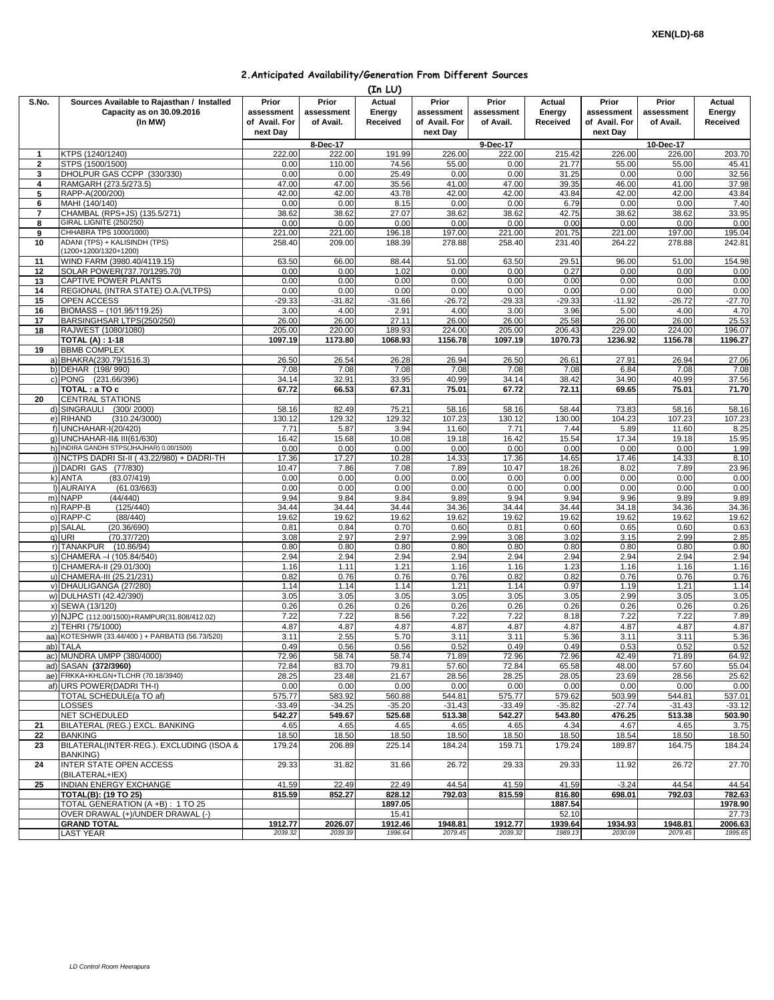|  | 2. Anticipated Availability/Generation From Different Sources |  |  |  |  |
|--|---------------------------------------------------------------|--|--|--|--|
|--|---------------------------------------------------------------|--|--|--|--|

|                          |                                                                                    |                    |                                  | (In LU)                      |                                      |                                  |                              |                                      |                                  |                              |
|--------------------------|------------------------------------------------------------------------------------|--------------------|----------------------------------|------------------------------|--------------------------------------|----------------------------------|------------------------------|--------------------------------------|----------------------------------|------------------------------|
| S.No.                    | Sources Available to Rajasthan / Installed<br>Capacity as on 30.09.2016<br>(In MW) |                    | Prior<br>assessment<br>of Avail. | Actual<br>Energy<br>Received | Prior<br>assessment<br>of Avail. For | Prior<br>assessment<br>of Avail. | Actual<br>Energy<br>Received | Prior<br>assessment<br>of Avail. For | Prior<br>assessment<br>of Avail. | Actual<br>Energy<br>Received |
|                          |                                                                                    |                    |                                  |                              | next Day                             |                                  |                              | next Day                             |                                  |                              |
|                          |                                                                                    |                    | 8-Dec-17                         |                              |                                      | 9-Dec-17                         |                              |                                      | 10-Dec-17                        |                              |
| 1                        | KTPS (1240/1240)                                                                   | 222.00             | 222.00                           | 191.99                       | 226.00                               | 222.00                           | 215.42                       | 226.00                               | 226.00                           | 203.70                       |
| $\mathbf{2}$             | STPS (1500/1500)<br>DHOLPUR GAS CCPP (330/330)                                     | 0.00<br>0.00       | 110.00<br>0.00                   | 74.56<br>25.49               | 55.00<br>0.00                        | 0.00<br>0.00                     | 21.77<br>31.25               | 55.00<br>0.00                        | 55.00<br>0.00                    | 45.41<br>32.56               |
| 3<br>4                   | RAMGARH (273.5/273.5)                                                              | 47.00              | 47.00                            | 35.56                        | 41.00                                | 47.00                            | 39.35                        | 46.00                                | 41.00                            | 37.98                        |
| 5                        | RAPP-A(200/200)                                                                    | 42.00              | 42.00                            | 43.78                        | 42.00                                | 42.00                            | 43.84                        | 42.00                                | 42.00                            | 43.84                        |
| 6                        | MAHI (140/140)                                                                     | 0.00               | 0.00                             | 8.15                         | 0.00                                 | 0.00                             | 6.79                         | 0.00                                 | 0.00                             | 7.40                         |
| $\overline{\phantom{a}}$ | CHAMBAL (RPS+JS) (135.5/271)                                                       | 38.62              | 38.62                            | 27.07                        | 38.62                                | 38.62                            | 42.75                        | 38.62                                | 38.62                            | 33.95                        |
| 8                        | GIRAL LIGNITE (250/250)                                                            | 0.00               | 0.00                             | 0.00                         | 0.00                                 | 0.00                             | 0.00                         | 0.00                                 | 0.00                             | 0.00                         |
| 9                        | CHHABRA TPS 1000/1000)                                                             | 221.00             | 221.00                           | 196.18                       | 197.00                               | 221.00                           | 201.75                       | 221.00                               | 197.00                           | 195.04                       |
| 10                       | ADANI (TPS) + KALISINDH (TPS)<br>(1200+1200/1320+1200)                             | 258.40             | 209.00                           | 188.39                       | 278.88                               | 258.40                           | 231.40                       | 264.22                               | 278.88                           | 242.81                       |
| 11                       | WIND FARM (3980.40/4119.15)                                                        | 63.50              | 66.00                            | 88.44                        | 51.00                                | 63.50                            | 29.51                        | 96.00                                | 51.00                            | 154.98                       |
| 12                       | SOLAR POWER(737.70/1295.70)                                                        | 0.00               | 0.00                             | 1.02                         | 0.00                                 | 0.00                             | 0.27                         | 0.00                                 | 0.00                             | 0.00                         |
| 13                       | CAPTIVE POWER PLANTS                                                               | 0.00               | 0.00                             | 0.00                         | 0.00                                 | 0.00                             | 0.00                         | 0.00                                 | 0.00                             | 0.00                         |
| 14                       | REGIONAL (INTRA STATE) O.A. (VLTPS)                                                | 0.00               | 0.00                             | 0.00                         | 0.00                                 | 0.00                             | 0.00                         | 0.00                                 | 0.00                             | 0.00                         |
| 15                       | OPEN ACCESS                                                                        | $-29.33$           | $-31.82$                         | $-31.66$                     | $-26.72$                             | $-29.33$                         | $-29.33$                     | $-11.92$                             | $-26.72$                         | $-27.70$                     |
| 16<br>17                 | BIOMASS - (101.95/119.25)<br>BARSINGHSAR LTPS(250/250)                             | 3.00<br>26.00      | 4.00<br>26.00                    | 2.91<br>27.11                | 4.00<br>26.00                        | 3.00<br>26.00                    | 3.96<br>25.58                | 5.00<br>26.00                        | 4.00<br>26.00                    | 4.70<br>25.53                |
| 18                       | RAJWEST (1080/1080)                                                                | 205.00             | 220.00                           | 189.93                       | 224.00                               | 205.00                           | 206.43                       | 229.00                               | 224.00                           | 196.07                       |
|                          | <b>TOTAL (A): 1-18</b>                                                             | 1097.19            | 1173.80                          | 1068.93                      | 1156.78                              | 1097.19                          | 1070.73                      | 1236.92                              | 1156.78                          | 1196.27                      |
| 19                       | <b>BBMB COMPLEX</b>                                                                |                    |                                  |                              |                                      |                                  |                              |                                      |                                  |                              |
|                          | a) BHAKRA(230.79/1516.3)                                                           | 26.50              | 26.54                            | 26.28                        | 26.94                                | 26.50                            | 26.61                        | 27.91                                | 26.94                            | 27.06                        |
|                          | b) DEHAR (198/990)                                                                 | 7.08               | 7.08                             | 7.08                         | 7.08                                 | 7.08                             | 7.08                         | 6.84                                 | 7.08                             | 7.08                         |
|                          | c) PONG (231.66/396)                                                               | 34.14              | 32.91                            | 33.95                        | 40.99                                | 34.14                            | 38.42                        | 34.90                                | 40.99                            | 37.56                        |
| 20                       | $\overline{\text{TOTAL}}$ : a TO c<br><b>CENTRAL STATIONS</b>                      | 67.72              | 66.53                            | 67.31                        | 75.01                                | 67.72                            | 72.11                        | 69.65                                | 75.01                            | 71.70                        |
|                          | (300/2000)<br>d) SINGRAULI                                                         | 58.16              | 82.49                            | 75.21                        | 58.16                                | 58.16                            | 58.44                        | 73.83                                | 58.16                            | 58.16                        |
|                          | e) RIHAND<br>(310.24/3000)                                                         | 130.12             | 129.32                           | 129.32                       | 107.23                               | 130.12                           | 130.00                       | 104.23                               | 107.23                           | 107.23                       |
|                          | f) UNCHAHAR-I(20/420)                                                              | 7.71               | 5.87                             | 3.94                         | 11.60                                | 7.71                             | 7.44                         | 5.89                                 | 11.60                            | 8.25                         |
|                          | q) UNCHAHAR-II& III(61/630)                                                        | 16.42              | 15.68                            | 10.08                        | 19.18                                | 16.42                            | 15.54                        | 17.34                                | 19.18                            | 15.95                        |
|                          | h) INDIRA GANDHI STPS(JHAJHAR) 0.00/1500)                                          | 0.00               | 0.00                             | 0.00                         | 0.00                                 | 0.00                             | 0.00                         | 0.00                                 | 0.00                             | 1.99                         |
|                          | i) NCTPS DADRI St-II (43.22/980) + DADRI-TH                                        | 17.36<br>10.47     | 17.27                            | 10.28                        | 14.33<br>7.89                        | 17.36                            | 14.65                        | 17.46<br>8.02                        | 14.33                            | 8.10                         |
|                          | j) DADRI GAS (77/830)<br>k) ANTA<br>(83.07/419)                                    | 0.00               | 7.86<br>0.00                     | 7.08<br>0.00                 | 0.00                                 | 10.47<br>0.00                    | 18.26<br>0.00                | 0.00                                 | 7.89<br>0.00                     | 23.96<br>0.00                |
|                          | I) AURAIYA<br>(61.03/663)                                                          | 0.00               | 0.00                             | 0.00                         | 0.00                                 | 0.00                             | 0.00                         | 0.00                                 | 0.00                             | 0.00                         |
|                          | m) NAPP<br>(44/440)                                                                | 9.94               | 9.84                             | 9.84                         | 9.89                                 | 9.94                             | 9.94                         | 9.96                                 | 9.89                             | 9.89                         |
|                          | n) RAPP-B<br>(125/440)                                                             | 34.44              | 34.44                            | 34.44                        | 34.36                                | 34.44                            | 34.44                        | 34.18                                | 34.36                            | 34.36                        |
|                          | o) RAPP-C<br>(88/440)                                                              | 19.62              | 19.62                            | 19.62                        | 19.62                                | 19.62                            | 19.62                        | 19.62                                | 19.62                            | 19.62                        |
|                          | p) SALAL<br>(20.36/690)                                                            | 0.81               | 0.84                             | 0.70                         | 0.60                                 | 0.81                             | 0.60                         | 0.65                                 | 0.60                             | 0.63                         |
|                          | q) URI<br>(70.37/720)<br>r) TANAKPUR (10.86/94)                                    | 3.08<br>0.80       | 2.97<br>0.80                     | 2.97<br>0.8C                 | 2.99<br>0.80                         | 3.08<br>0.80                     | 3.02<br>0.80                 | 3.15<br>0.80                         | 2.99<br>0.80                     | 2.85<br>0.80                 |
|                          | s) CHAMERA - (105.84/540)                                                          | 2.94               | 2.94                             | 2.94                         | 2.94                                 | 2.94                             | 2.94                         | 2.94                                 | 2.94                             | 2.94                         |
|                          | t) CHAMERA-II (29.01/300)                                                          | 1.16               | 1.11                             | 1.21                         | 1.16                                 | 1.16                             | 1.23                         | 1.16                                 | 1.16                             | 1.16                         |
|                          | u) CHAMERA-III (25.21/231)                                                         | 0.82               | 0.76                             | 0.76                         | 0.76                                 | 0.82                             | 0.82                         | 0.76                                 | 0.76                             | 0.76                         |
|                          | v) DHAULIGANGA (27/280)                                                            | 1.14               | 1.14                             | 1.14                         | 1.21                                 | 1.14                             | 0.97                         | 1.19                                 | 1.21                             | 1.14                         |
|                          | w) DULHASTI (42.42/390)                                                            | 3.05               | 3.05                             | 3.05                         | 3.05                                 | 3.05                             | 3.05                         | 2.99                                 | 3.05                             | 3.05                         |
|                          | x) SEWA (13/120)                                                                   | 0.26<br>7.22       | 0.26<br>7.22                     | 0.26<br>8.56                 | 0.26<br>7.22                         | 0.26<br>7.22                     | 0.26<br>8.18                 | 0.26<br>7.22                         | 0.26<br>7.22                     | 0.26<br>7.89                 |
|                          | y) NJPC (112.00/1500)+RAMPUR(31.808/412.02)<br>z) TEHRI (75/1000)                  | 4.87               | 4.87                             | 4.87                         | 4.87                                 | 4.87                             | 4.87                         | 4.87                                 | 4.87                             | 4.87                         |
|                          | aa) KOTESHWR (33.44/400) + PARBATI3 (56.73/520)                                    | 3.11               | 2.55                             | 5.70                         | 3.11                                 | 3.11                             | 5.36                         | 3.11                                 | 3.11                             | 5.36                         |
|                          | ab) TALA                                                                           | 0.49               | 0.56                             | 0.56                         | 0.52                                 | 0.49                             | 0.49                         | 0.53                                 | 0.52                             | 0.52                         |
|                          | ac) MUNDRA UMPP (380/4000)                                                         | 72.96              | 58.74                            | 58.74                        | 71.89                                | 72.96                            | 72.96                        | 42.49                                | 71.89                            | 64.92                        |
|                          | ad) SASAN (372/3960)                                                               | 72.84              | 83.70                            | 79.81                        | 57.60                                | 72.84                            | 65.58                        | 48.00                                | 57.60                            | 55.04                        |
|                          | ae) FRKKA+KHLGN+TLCHR (70.18/3940)                                                 | 28.25              | 23.48                            | 21.67                        | 28.56                                | 28.25                            | 28.05                        | 23.69                                | 28.56                            | 25.62                        |
|                          | af) URS POWER(DADRI TH-I)                                                          | 0.00               | 0.00                             | 0.00                         | 0.00                                 | 0.00                             | 0.00                         | 0.00                                 | 0.00                             | 0.00                         |
|                          | TOTAL SCHEDULE(a TO af)<br><b>LOSSES</b>                                           | 575.77<br>$-33.49$ | 583.92<br>$-34.25$               | 560.88<br>$-35.20$           | 544.81<br>$-31.43$                   | 575.77<br>$-33.49$               | 579.62<br>$-35.82$           | 503.99<br>$-27.74$                   | 544.81<br>$-31.43$               | 537.01<br>$-33.12$           |
|                          | NET SCHEDULED                                                                      | 542.27             | 549.67                           | 525.68                       | 513.38                               | 542.27                           | 543.80                       | 476.25                               | 513.38                           | 503.90                       |
| 21                       | BILATERAL (REG.) EXCL. BANKING                                                     | 4.65               | 4.65                             | 4.65                         | 4.65                                 | 4.65                             | 4.34                         | 4.67                                 | 4.65                             | 3.75                         |
| 22                       | <b>BANKING</b>                                                                     | 18.50              | 18.50                            | 18.50                        | 18.50                                | 18.50                            | 18.50                        | 18.54                                | 18.50                            | 18.50                        |
| 23                       | BILATERAL(INTER-REG.), EXCLUDING (ISOA &                                           | 179.24             | 206.89                           | 225.14                       | 184.24                               | 159.71                           | 179.24                       | 189.87                               | 164.75                           | 184.24                       |
| 24                       | <b>BANKING)</b><br>INTER STATE OPEN ACCESS                                         | 29.33              | 31.82                            | 31.66                        | 26.72                                | 29.33                            | 29.33                        | 11.92                                | 26.72                            | 27.70                        |
|                          | (BILATERAL+IEX)                                                                    |                    |                                  |                              |                                      |                                  |                              |                                      |                                  |                              |
| 25                       | INDIAN ENERGY EXCHANGE                                                             | 41.59              | 22.49                            | 22.49                        | 44.54                                | 41.59                            | 41.59                        | $-3.24$                              | 44.54                            | 44.54                        |
|                          | <b>TOTAL(B): (19 TO 25)</b>                                                        | 815.59             | 852.27                           | 828.12                       | 792.03                               | 815.59                           | 816.80                       | 698.01                               | 792.03                           | 782.63                       |
|                          | TOTAL GENERATION (A +B): 1 TO 25<br>OVER DRAWAL (+)/UNDER DRAWAL (-)               |                    |                                  | 1897.05<br>15.41             |                                      |                                  | 1887.54<br>52.10             |                                      |                                  | 1978.90<br>27.73             |
|                          | <b>GRAND TOTAL</b>                                                                 | 1912.77            | 2026.07                          | 1912.46                      | 1948.81                              | 1912.77                          | 1939.64                      | 1934.93                              | 1948.81                          | 2006.63                      |
|                          | <b>LAST YEAR</b>                                                                   | 2039.32            | 2039.39                          | 1996.64                      | 2079.45                              | 2039.32                          | 1989.13                      | 2030.09                              | 2079.45                          | 1995.65                      |
|                          |                                                                                    |                    |                                  |                              |                                      |                                  |                              |                                      |                                  |                              |